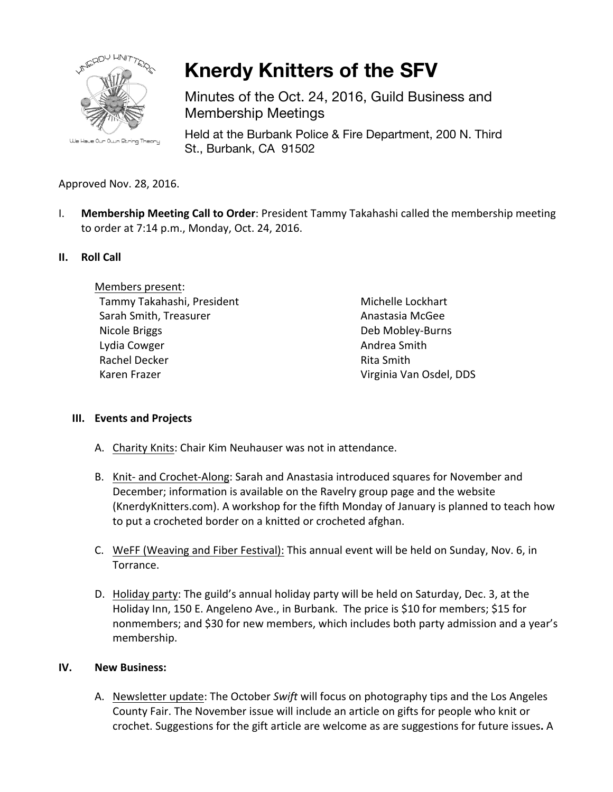

**Knerdy Knitters of the SFV**

Minutes of the Oct. 24, 2016, Guild Business and Membership Meetings

Held at the Burbank Police & Fire Department, 200 N. Third St., Burbank, CA 91502

# Approved Nov. 28, 2016.

I. Membership Meeting Call to Order: President Tammy Takahashi called the membership meeting to order at 7:14 p.m., Monday, Oct. 24, 2016.

## **II. Roll Call**

Members present: Tammy Takahashi, President Sarah Smith, Treasurer Nicole Briggs Lydia Cowger Rachel Decker Karen Frazer

Michelle Lockhart Anastasia McGee Deb Mobley-Burns Andrea Smith Rita Smith Virginia Van Osdel, DDS

## **III.** Events and Projects

- A. Charity Knits: Chair Kim Neuhauser was not in attendance.
- B. Knit- and Crochet-Along: Sarah and Anastasia introduced squares for November and December; information is available on the Ravelry group page and the website (KnerdyKnitters.com). A workshop for the fifth Monday of January is planned to teach how to put a crocheted border on a knitted or crocheted afghan.
- C. WeFF (Weaving and Fiber Festival): This annual event will be held on Sunday, Nov. 6, in Torrance.
- D. Holiday party: The guild's annual holiday party will be held on Saturday, Dec. 3, at the Holiday Inn, 150 E. Angeleno Ave., in Burbank. The price is \$10 for members; \$15 for nonmembers; and \$30 for new members, which includes both party admission and a year's membership.

#### **IV. New Business:**

A. Newsletter update: The October *Swift* will focus on photography tips and the Los Angeles County Fair. The November issue will include an article on gifts for people who knit or crochet. Suggestions for the gift article are welcome as are suggestions for future issues. A